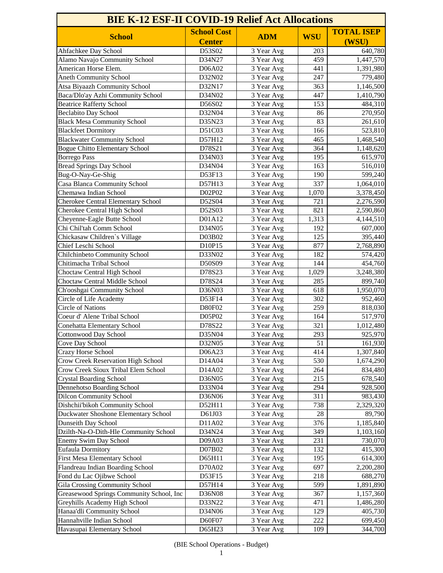| <b>School Cost</b><br><b>TOTAL ISEP</b><br><b>WSU</b><br><b>School</b><br><b>ADM</b><br><b>Center</b><br>(WSU)<br>Ahfachkee Day School<br>D53S02<br>203<br>640,780<br>3 Year Avg<br>Alamo Navajo Community School<br>D34N27<br>459<br>3 Year Avg<br>1,447,570<br>American Horse Elem.<br>D06A02<br>3 Year Avg<br>441<br>1,391,980<br><b>Aneth Community School</b><br>D32N02<br>3 Year Avg<br>247<br>779,480<br>Atsa Biyaazh Community School<br>D32N17<br>3 Year Avg<br>363<br>1,146,500<br>Baca/Dlo'ay Azhi Community School<br>1,410,790<br>D34N02<br>3 Year Avg<br>447<br><b>Beatrice Rafferty School</b><br>D56S02<br>484,310<br>3 Year Avg<br>153<br><b>Beclabito Day School</b><br>D32N04<br>270,950<br>86<br>3 Year Avg<br><b>Black Mesa Community School</b><br>D35N23<br>83<br>3 Year Avg<br>261,610<br>523,810<br><b>Blackfeet Dormitory</b><br>D51C03<br>166<br>3 Year Avg<br><b>Blackwater Community School</b><br>D57H12<br>3 Year Avg<br>465<br>1,468,540<br><b>Bogue Chitto Elementary School</b><br>D78S21<br>364<br>3 Year Avg<br>1,148,620<br>615,970<br><b>Borrego Pass</b><br>D34N03<br>3 Year Avg<br>195<br><b>Bread Springs Day School</b><br>D34N04<br>516,010<br>3 Year Avg<br>163<br>Bug-O-Nay-Ge-Shig<br>D53F13<br>3 Year Avg<br>190<br>599,240<br>337<br>1,064,010<br>Casa Blanca Community School<br>D57H13<br>3 Year Avg<br>Chemawa Indian School<br>D02P02<br>3,378,450<br>3 Year Avg<br>1,070<br><b>Cherokee Central Elementary School</b><br>D52S04<br>721<br>3 Year Avg<br>2,276,590<br>Cherokee Central High School<br>D52S03<br>821<br>2,590,860<br>3 Year Avg<br>Cheyenne-Eagle Butte School<br>D01A12<br>3 Year Avg<br>1,313<br>4,144,510<br>Chi Chil'tah Comm School<br>D34N05<br>607,000<br>3 Year Avg<br>192<br>Chickasaw Children's Village<br>D03B02<br>125<br>3 Year Avg<br>395,440<br>Chief Leschi School<br>D10P15<br>877<br>3 Year Avg<br>2,768,890<br>Chilchinbeto Community School<br>D33N02<br>3 Year Avg<br>182<br>574,420<br>Chitimacha Tribal School<br>D50S09<br>3 Year Avg<br>144<br>454,760<br>3,248,380<br>D78S23<br>1,029<br>Choctaw Central High School<br>3 Year Avg<br>Choctaw Central Middle School<br>D78S24<br>285<br>899,740<br>3 Year Avg<br>Ch'ooshgai Community School<br>D36N03<br>618<br>1,950,070<br>3 Year Avg<br>Circle of Life Academy<br>D53F14<br>302<br>3 Year Avg<br>952,460<br><b>Circle of Nations</b><br>D80F02<br>259<br>818,030<br>3 Year Avg<br>Coeur d' Alene Tribal School<br>D05P02<br>3 Year Avg<br>164<br>517,970<br>D78S22<br>321<br><b>Conehatta Elementary School</b><br>1,012,480<br>3 Year Avg<br>D35N04<br>293<br>925,970<br>3 Year Avg<br>Cove Day School<br>D32N05<br>3 Year Avg<br>51<br>161,930<br>D06A23<br>414<br><b>Crazy Horse School</b><br>3 Year Avg<br>1,307,840<br>Crow Creek Reservation High School<br>D14A04<br>530<br>3 Year Avg<br>1,674,290<br><b>Crow Creek Sioux Tribal Elem School</b><br>D14A02<br>264<br>834,480<br>3 Year Avg<br><b>Crystal Boarding School</b><br>D36N05<br>215<br>678,540<br>3 Year Avg<br><b>Dennehotso Boarding School</b><br>D33N04<br>294<br>928,500<br>3 Year Avg<br><b>Dilcon Community School</b><br>311<br>D36N06<br>983,430<br>3 Year Avg<br>738<br>D52H11<br>2,329,320<br>3 Year Avg<br>Duckwater Shoshone Elementary School<br>D61J03<br>28<br>89,790<br>3 Year Avg<br>376<br>D11A02<br>1,185,840<br>3 Year Avg<br>Dzilth-Na-O-Dith-Hle Community School<br>D34N24<br>3 Year Avg<br>349<br>1,103,160<br>Enemy Swim Day School<br>231<br>D09A03<br>3 Year Avg<br>730,070<br><b>Eufaula Dormitory</b><br>D07B02<br>132<br>3 Year Avg<br>415,300<br><b>First Mesa Elementary School</b><br>D65H11<br>195<br>3 Year Avg<br>614,300<br>Flandreau Indian Boarding School<br>D70A02<br>2,200,280<br>3 Year Avg<br>697<br>Fond du Lac Ojibwe School<br>D53F15<br>218<br>688,270<br>3 Year Avg<br><b>Gila Crossing Community School</b><br>D57H14<br>599<br>1,891,890<br>3 Year Avg<br>Greasewood Springs Community School, Inc<br>D36N08<br>3 Year Avg<br>367<br>1,157,360<br>Greyhills Academy High School<br>D33N22<br>471<br>3 Year Avg<br>1,486,280<br>D34N06<br>405,730<br>3 Year Avg<br>129<br>Hannahville Indian School<br>D60F07<br>222<br>3 Year Avg<br>699,450<br>344,700<br>D65H23<br>3 Year Avg<br>109 | <b>BIE K-12 ESF-II COVID-19 Relief Act Allocations</b> |  |  |  |  |
|-----------------------------------------------------------------------------------------------------------------------------------------------------------------------------------------------------------------------------------------------------------------------------------------------------------------------------------------------------------------------------------------------------------------------------------------------------------------------------------------------------------------------------------------------------------------------------------------------------------------------------------------------------------------------------------------------------------------------------------------------------------------------------------------------------------------------------------------------------------------------------------------------------------------------------------------------------------------------------------------------------------------------------------------------------------------------------------------------------------------------------------------------------------------------------------------------------------------------------------------------------------------------------------------------------------------------------------------------------------------------------------------------------------------------------------------------------------------------------------------------------------------------------------------------------------------------------------------------------------------------------------------------------------------------------------------------------------------------------------------------------------------------------------------------------------------------------------------------------------------------------------------------------------------------------------------------------------------------------------------------------------------------------------------------------------------------------------------------------------------------------------------------------------------------------------------------------------------------------------------------------------------------------------------------------------------------------------------------------------------------------------------------------------------------------------------------------------------------------------------------------------------------------------------------------------------------------------------------------------------------------------------------------------------------------------------------------------------------------------------------------------------------------------------------------------------------------------------------------------------------------------------------------------------------------------------------------------------------------------------------------------------------------------------------------------------------------------------------------------------------------------------------------------------------------------------------------------------------------------------------------------------------------------------------------------------------------------------------------------------------------------------------------------------------------------------------------------------------------------------------------------------------------------------------------------------------------------------------------------------------------------------------------------------------------------------------------------------------------------------------------------------------------------------------------------------------------------------------------------------------------------------------------------------------------------------------------------------------------------------------------------------------------------------------------------------------------------------------------------------------------------------------------------------------------------------------------------------------------------------------------------------|--------------------------------------------------------|--|--|--|--|
|                                                                                                                                                                                                                                                                                                                                                                                                                                                                                                                                                                                                                                                                                                                                                                                                                                                                                                                                                                                                                                                                                                                                                                                                                                                                                                                                                                                                                                                                                                                                                                                                                                                                                                                                                                                                                                                                                                                                                                                                                                                                                                                                                                                                                                                                                                                                                                                                                                                                                                                                                                                                                                                                                                                                                                                                                                                                                                                                                                                                                                                                                                                                                                                                                                                                                                                                                                                                                                                                                                                                                                                                                                                                                                                                                                                                                                                                                                                                                                                                                                                                                                                                                                                                                                                                 |                                                        |  |  |  |  |
|                                                                                                                                                                                                                                                                                                                                                                                                                                                                                                                                                                                                                                                                                                                                                                                                                                                                                                                                                                                                                                                                                                                                                                                                                                                                                                                                                                                                                                                                                                                                                                                                                                                                                                                                                                                                                                                                                                                                                                                                                                                                                                                                                                                                                                                                                                                                                                                                                                                                                                                                                                                                                                                                                                                                                                                                                                                                                                                                                                                                                                                                                                                                                                                                                                                                                                                                                                                                                                                                                                                                                                                                                                                                                                                                                                                                                                                                                                                                                                                                                                                                                                                                                                                                                                                                 |                                                        |  |  |  |  |
|                                                                                                                                                                                                                                                                                                                                                                                                                                                                                                                                                                                                                                                                                                                                                                                                                                                                                                                                                                                                                                                                                                                                                                                                                                                                                                                                                                                                                                                                                                                                                                                                                                                                                                                                                                                                                                                                                                                                                                                                                                                                                                                                                                                                                                                                                                                                                                                                                                                                                                                                                                                                                                                                                                                                                                                                                                                                                                                                                                                                                                                                                                                                                                                                                                                                                                                                                                                                                                                                                                                                                                                                                                                                                                                                                                                                                                                                                                                                                                                                                                                                                                                                                                                                                                                                 |                                                        |  |  |  |  |
|                                                                                                                                                                                                                                                                                                                                                                                                                                                                                                                                                                                                                                                                                                                                                                                                                                                                                                                                                                                                                                                                                                                                                                                                                                                                                                                                                                                                                                                                                                                                                                                                                                                                                                                                                                                                                                                                                                                                                                                                                                                                                                                                                                                                                                                                                                                                                                                                                                                                                                                                                                                                                                                                                                                                                                                                                                                                                                                                                                                                                                                                                                                                                                                                                                                                                                                                                                                                                                                                                                                                                                                                                                                                                                                                                                                                                                                                                                                                                                                                                                                                                                                                                                                                                                                                 |                                                        |  |  |  |  |
|                                                                                                                                                                                                                                                                                                                                                                                                                                                                                                                                                                                                                                                                                                                                                                                                                                                                                                                                                                                                                                                                                                                                                                                                                                                                                                                                                                                                                                                                                                                                                                                                                                                                                                                                                                                                                                                                                                                                                                                                                                                                                                                                                                                                                                                                                                                                                                                                                                                                                                                                                                                                                                                                                                                                                                                                                                                                                                                                                                                                                                                                                                                                                                                                                                                                                                                                                                                                                                                                                                                                                                                                                                                                                                                                                                                                                                                                                                                                                                                                                                                                                                                                                                                                                                                                 |                                                        |  |  |  |  |
|                                                                                                                                                                                                                                                                                                                                                                                                                                                                                                                                                                                                                                                                                                                                                                                                                                                                                                                                                                                                                                                                                                                                                                                                                                                                                                                                                                                                                                                                                                                                                                                                                                                                                                                                                                                                                                                                                                                                                                                                                                                                                                                                                                                                                                                                                                                                                                                                                                                                                                                                                                                                                                                                                                                                                                                                                                                                                                                                                                                                                                                                                                                                                                                                                                                                                                                                                                                                                                                                                                                                                                                                                                                                                                                                                                                                                                                                                                                                                                                                                                                                                                                                                                                                                                                                 |                                                        |  |  |  |  |
|                                                                                                                                                                                                                                                                                                                                                                                                                                                                                                                                                                                                                                                                                                                                                                                                                                                                                                                                                                                                                                                                                                                                                                                                                                                                                                                                                                                                                                                                                                                                                                                                                                                                                                                                                                                                                                                                                                                                                                                                                                                                                                                                                                                                                                                                                                                                                                                                                                                                                                                                                                                                                                                                                                                                                                                                                                                                                                                                                                                                                                                                                                                                                                                                                                                                                                                                                                                                                                                                                                                                                                                                                                                                                                                                                                                                                                                                                                                                                                                                                                                                                                                                                                                                                                                                 |                                                        |  |  |  |  |
|                                                                                                                                                                                                                                                                                                                                                                                                                                                                                                                                                                                                                                                                                                                                                                                                                                                                                                                                                                                                                                                                                                                                                                                                                                                                                                                                                                                                                                                                                                                                                                                                                                                                                                                                                                                                                                                                                                                                                                                                                                                                                                                                                                                                                                                                                                                                                                                                                                                                                                                                                                                                                                                                                                                                                                                                                                                                                                                                                                                                                                                                                                                                                                                                                                                                                                                                                                                                                                                                                                                                                                                                                                                                                                                                                                                                                                                                                                                                                                                                                                                                                                                                                                                                                                                                 |                                                        |  |  |  |  |
|                                                                                                                                                                                                                                                                                                                                                                                                                                                                                                                                                                                                                                                                                                                                                                                                                                                                                                                                                                                                                                                                                                                                                                                                                                                                                                                                                                                                                                                                                                                                                                                                                                                                                                                                                                                                                                                                                                                                                                                                                                                                                                                                                                                                                                                                                                                                                                                                                                                                                                                                                                                                                                                                                                                                                                                                                                                                                                                                                                                                                                                                                                                                                                                                                                                                                                                                                                                                                                                                                                                                                                                                                                                                                                                                                                                                                                                                                                                                                                                                                                                                                                                                                                                                                                                                 |                                                        |  |  |  |  |
|                                                                                                                                                                                                                                                                                                                                                                                                                                                                                                                                                                                                                                                                                                                                                                                                                                                                                                                                                                                                                                                                                                                                                                                                                                                                                                                                                                                                                                                                                                                                                                                                                                                                                                                                                                                                                                                                                                                                                                                                                                                                                                                                                                                                                                                                                                                                                                                                                                                                                                                                                                                                                                                                                                                                                                                                                                                                                                                                                                                                                                                                                                                                                                                                                                                                                                                                                                                                                                                                                                                                                                                                                                                                                                                                                                                                                                                                                                                                                                                                                                                                                                                                                                                                                                                                 |                                                        |  |  |  |  |
|                                                                                                                                                                                                                                                                                                                                                                                                                                                                                                                                                                                                                                                                                                                                                                                                                                                                                                                                                                                                                                                                                                                                                                                                                                                                                                                                                                                                                                                                                                                                                                                                                                                                                                                                                                                                                                                                                                                                                                                                                                                                                                                                                                                                                                                                                                                                                                                                                                                                                                                                                                                                                                                                                                                                                                                                                                                                                                                                                                                                                                                                                                                                                                                                                                                                                                                                                                                                                                                                                                                                                                                                                                                                                                                                                                                                                                                                                                                                                                                                                                                                                                                                                                                                                                                                 |                                                        |  |  |  |  |
|                                                                                                                                                                                                                                                                                                                                                                                                                                                                                                                                                                                                                                                                                                                                                                                                                                                                                                                                                                                                                                                                                                                                                                                                                                                                                                                                                                                                                                                                                                                                                                                                                                                                                                                                                                                                                                                                                                                                                                                                                                                                                                                                                                                                                                                                                                                                                                                                                                                                                                                                                                                                                                                                                                                                                                                                                                                                                                                                                                                                                                                                                                                                                                                                                                                                                                                                                                                                                                                                                                                                                                                                                                                                                                                                                                                                                                                                                                                                                                                                                                                                                                                                                                                                                                                                 |                                                        |  |  |  |  |
|                                                                                                                                                                                                                                                                                                                                                                                                                                                                                                                                                                                                                                                                                                                                                                                                                                                                                                                                                                                                                                                                                                                                                                                                                                                                                                                                                                                                                                                                                                                                                                                                                                                                                                                                                                                                                                                                                                                                                                                                                                                                                                                                                                                                                                                                                                                                                                                                                                                                                                                                                                                                                                                                                                                                                                                                                                                                                                                                                                                                                                                                                                                                                                                                                                                                                                                                                                                                                                                                                                                                                                                                                                                                                                                                                                                                                                                                                                                                                                                                                                                                                                                                                                                                                                                                 |                                                        |  |  |  |  |
|                                                                                                                                                                                                                                                                                                                                                                                                                                                                                                                                                                                                                                                                                                                                                                                                                                                                                                                                                                                                                                                                                                                                                                                                                                                                                                                                                                                                                                                                                                                                                                                                                                                                                                                                                                                                                                                                                                                                                                                                                                                                                                                                                                                                                                                                                                                                                                                                                                                                                                                                                                                                                                                                                                                                                                                                                                                                                                                                                                                                                                                                                                                                                                                                                                                                                                                                                                                                                                                                                                                                                                                                                                                                                                                                                                                                                                                                                                                                                                                                                                                                                                                                                                                                                                                                 |                                                        |  |  |  |  |
|                                                                                                                                                                                                                                                                                                                                                                                                                                                                                                                                                                                                                                                                                                                                                                                                                                                                                                                                                                                                                                                                                                                                                                                                                                                                                                                                                                                                                                                                                                                                                                                                                                                                                                                                                                                                                                                                                                                                                                                                                                                                                                                                                                                                                                                                                                                                                                                                                                                                                                                                                                                                                                                                                                                                                                                                                                                                                                                                                                                                                                                                                                                                                                                                                                                                                                                                                                                                                                                                                                                                                                                                                                                                                                                                                                                                                                                                                                                                                                                                                                                                                                                                                                                                                                                                 |                                                        |  |  |  |  |
|                                                                                                                                                                                                                                                                                                                                                                                                                                                                                                                                                                                                                                                                                                                                                                                                                                                                                                                                                                                                                                                                                                                                                                                                                                                                                                                                                                                                                                                                                                                                                                                                                                                                                                                                                                                                                                                                                                                                                                                                                                                                                                                                                                                                                                                                                                                                                                                                                                                                                                                                                                                                                                                                                                                                                                                                                                                                                                                                                                                                                                                                                                                                                                                                                                                                                                                                                                                                                                                                                                                                                                                                                                                                                                                                                                                                                                                                                                                                                                                                                                                                                                                                                                                                                                                                 |                                                        |  |  |  |  |
|                                                                                                                                                                                                                                                                                                                                                                                                                                                                                                                                                                                                                                                                                                                                                                                                                                                                                                                                                                                                                                                                                                                                                                                                                                                                                                                                                                                                                                                                                                                                                                                                                                                                                                                                                                                                                                                                                                                                                                                                                                                                                                                                                                                                                                                                                                                                                                                                                                                                                                                                                                                                                                                                                                                                                                                                                                                                                                                                                                                                                                                                                                                                                                                                                                                                                                                                                                                                                                                                                                                                                                                                                                                                                                                                                                                                                                                                                                                                                                                                                                                                                                                                                                                                                                                                 |                                                        |  |  |  |  |
|                                                                                                                                                                                                                                                                                                                                                                                                                                                                                                                                                                                                                                                                                                                                                                                                                                                                                                                                                                                                                                                                                                                                                                                                                                                                                                                                                                                                                                                                                                                                                                                                                                                                                                                                                                                                                                                                                                                                                                                                                                                                                                                                                                                                                                                                                                                                                                                                                                                                                                                                                                                                                                                                                                                                                                                                                                                                                                                                                                                                                                                                                                                                                                                                                                                                                                                                                                                                                                                                                                                                                                                                                                                                                                                                                                                                                                                                                                                                                                                                                                                                                                                                                                                                                                                                 |                                                        |  |  |  |  |
|                                                                                                                                                                                                                                                                                                                                                                                                                                                                                                                                                                                                                                                                                                                                                                                                                                                                                                                                                                                                                                                                                                                                                                                                                                                                                                                                                                                                                                                                                                                                                                                                                                                                                                                                                                                                                                                                                                                                                                                                                                                                                                                                                                                                                                                                                                                                                                                                                                                                                                                                                                                                                                                                                                                                                                                                                                                                                                                                                                                                                                                                                                                                                                                                                                                                                                                                                                                                                                                                                                                                                                                                                                                                                                                                                                                                                                                                                                                                                                                                                                                                                                                                                                                                                                                                 |                                                        |  |  |  |  |
|                                                                                                                                                                                                                                                                                                                                                                                                                                                                                                                                                                                                                                                                                                                                                                                                                                                                                                                                                                                                                                                                                                                                                                                                                                                                                                                                                                                                                                                                                                                                                                                                                                                                                                                                                                                                                                                                                                                                                                                                                                                                                                                                                                                                                                                                                                                                                                                                                                                                                                                                                                                                                                                                                                                                                                                                                                                                                                                                                                                                                                                                                                                                                                                                                                                                                                                                                                                                                                                                                                                                                                                                                                                                                                                                                                                                                                                                                                                                                                                                                                                                                                                                                                                                                                                                 |                                                        |  |  |  |  |
|                                                                                                                                                                                                                                                                                                                                                                                                                                                                                                                                                                                                                                                                                                                                                                                                                                                                                                                                                                                                                                                                                                                                                                                                                                                                                                                                                                                                                                                                                                                                                                                                                                                                                                                                                                                                                                                                                                                                                                                                                                                                                                                                                                                                                                                                                                                                                                                                                                                                                                                                                                                                                                                                                                                                                                                                                                                                                                                                                                                                                                                                                                                                                                                                                                                                                                                                                                                                                                                                                                                                                                                                                                                                                                                                                                                                                                                                                                                                                                                                                                                                                                                                                                                                                                                                 |                                                        |  |  |  |  |
|                                                                                                                                                                                                                                                                                                                                                                                                                                                                                                                                                                                                                                                                                                                                                                                                                                                                                                                                                                                                                                                                                                                                                                                                                                                                                                                                                                                                                                                                                                                                                                                                                                                                                                                                                                                                                                                                                                                                                                                                                                                                                                                                                                                                                                                                                                                                                                                                                                                                                                                                                                                                                                                                                                                                                                                                                                                                                                                                                                                                                                                                                                                                                                                                                                                                                                                                                                                                                                                                                                                                                                                                                                                                                                                                                                                                                                                                                                                                                                                                                                                                                                                                                                                                                                                                 |                                                        |  |  |  |  |
|                                                                                                                                                                                                                                                                                                                                                                                                                                                                                                                                                                                                                                                                                                                                                                                                                                                                                                                                                                                                                                                                                                                                                                                                                                                                                                                                                                                                                                                                                                                                                                                                                                                                                                                                                                                                                                                                                                                                                                                                                                                                                                                                                                                                                                                                                                                                                                                                                                                                                                                                                                                                                                                                                                                                                                                                                                                                                                                                                                                                                                                                                                                                                                                                                                                                                                                                                                                                                                                                                                                                                                                                                                                                                                                                                                                                                                                                                                                                                                                                                                                                                                                                                                                                                                                                 |                                                        |  |  |  |  |
|                                                                                                                                                                                                                                                                                                                                                                                                                                                                                                                                                                                                                                                                                                                                                                                                                                                                                                                                                                                                                                                                                                                                                                                                                                                                                                                                                                                                                                                                                                                                                                                                                                                                                                                                                                                                                                                                                                                                                                                                                                                                                                                                                                                                                                                                                                                                                                                                                                                                                                                                                                                                                                                                                                                                                                                                                                                                                                                                                                                                                                                                                                                                                                                                                                                                                                                                                                                                                                                                                                                                                                                                                                                                                                                                                                                                                                                                                                                                                                                                                                                                                                                                                                                                                                                                 |                                                        |  |  |  |  |
|                                                                                                                                                                                                                                                                                                                                                                                                                                                                                                                                                                                                                                                                                                                                                                                                                                                                                                                                                                                                                                                                                                                                                                                                                                                                                                                                                                                                                                                                                                                                                                                                                                                                                                                                                                                                                                                                                                                                                                                                                                                                                                                                                                                                                                                                                                                                                                                                                                                                                                                                                                                                                                                                                                                                                                                                                                                                                                                                                                                                                                                                                                                                                                                                                                                                                                                                                                                                                                                                                                                                                                                                                                                                                                                                                                                                                                                                                                                                                                                                                                                                                                                                                                                                                                                                 |                                                        |  |  |  |  |
|                                                                                                                                                                                                                                                                                                                                                                                                                                                                                                                                                                                                                                                                                                                                                                                                                                                                                                                                                                                                                                                                                                                                                                                                                                                                                                                                                                                                                                                                                                                                                                                                                                                                                                                                                                                                                                                                                                                                                                                                                                                                                                                                                                                                                                                                                                                                                                                                                                                                                                                                                                                                                                                                                                                                                                                                                                                                                                                                                                                                                                                                                                                                                                                                                                                                                                                                                                                                                                                                                                                                                                                                                                                                                                                                                                                                                                                                                                                                                                                                                                                                                                                                                                                                                                                                 |                                                        |  |  |  |  |
|                                                                                                                                                                                                                                                                                                                                                                                                                                                                                                                                                                                                                                                                                                                                                                                                                                                                                                                                                                                                                                                                                                                                                                                                                                                                                                                                                                                                                                                                                                                                                                                                                                                                                                                                                                                                                                                                                                                                                                                                                                                                                                                                                                                                                                                                                                                                                                                                                                                                                                                                                                                                                                                                                                                                                                                                                                                                                                                                                                                                                                                                                                                                                                                                                                                                                                                                                                                                                                                                                                                                                                                                                                                                                                                                                                                                                                                                                                                                                                                                                                                                                                                                                                                                                                                                 |                                                        |  |  |  |  |
|                                                                                                                                                                                                                                                                                                                                                                                                                                                                                                                                                                                                                                                                                                                                                                                                                                                                                                                                                                                                                                                                                                                                                                                                                                                                                                                                                                                                                                                                                                                                                                                                                                                                                                                                                                                                                                                                                                                                                                                                                                                                                                                                                                                                                                                                                                                                                                                                                                                                                                                                                                                                                                                                                                                                                                                                                                                                                                                                                                                                                                                                                                                                                                                                                                                                                                                                                                                                                                                                                                                                                                                                                                                                                                                                                                                                                                                                                                                                                                                                                                                                                                                                                                                                                                                                 |                                                        |  |  |  |  |
|                                                                                                                                                                                                                                                                                                                                                                                                                                                                                                                                                                                                                                                                                                                                                                                                                                                                                                                                                                                                                                                                                                                                                                                                                                                                                                                                                                                                                                                                                                                                                                                                                                                                                                                                                                                                                                                                                                                                                                                                                                                                                                                                                                                                                                                                                                                                                                                                                                                                                                                                                                                                                                                                                                                                                                                                                                                                                                                                                                                                                                                                                                                                                                                                                                                                                                                                                                                                                                                                                                                                                                                                                                                                                                                                                                                                                                                                                                                                                                                                                                                                                                                                                                                                                                                                 |                                                        |  |  |  |  |
|                                                                                                                                                                                                                                                                                                                                                                                                                                                                                                                                                                                                                                                                                                                                                                                                                                                                                                                                                                                                                                                                                                                                                                                                                                                                                                                                                                                                                                                                                                                                                                                                                                                                                                                                                                                                                                                                                                                                                                                                                                                                                                                                                                                                                                                                                                                                                                                                                                                                                                                                                                                                                                                                                                                                                                                                                                                                                                                                                                                                                                                                                                                                                                                                                                                                                                                                                                                                                                                                                                                                                                                                                                                                                                                                                                                                                                                                                                                                                                                                                                                                                                                                                                                                                                                                 |                                                        |  |  |  |  |
|                                                                                                                                                                                                                                                                                                                                                                                                                                                                                                                                                                                                                                                                                                                                                                                                                                                                                                                                                                                                                                                                                                                                                                                                                                                                                                                                                                                                                                                                                                                                                                                                                                                                                                                                                                                                                                                                                                                                                                                                                                                                                                                                                                                                                                                                                                                                                                                                                                                                                                                                                                                                                                                                                                                                                                                                                                                                                                                                                                                                                                                                                                                                                                                                                                                                                                                                                                                                                                                                                                                                                                                                                                                                                                                                                                                                                                                                                                                                                                                                                                                                                                                                                                                                                                                                 |                                                        |  |  |  |  |
|                                                                                                                                                                                                                                                                                                                                                                                                                                                                                                                                                                                                                                                                                                                                                                                                                                                                                                                                                                                                                                                                                                                                                                                                                                                                                                                                                                                                                                                                                                                                                                                                                                                                                                                                                                                                                                                                                                                                                                                                                                                                                                                                                                                                                                                                                                                                                                                                                                                                                                                                                                                                                                                                                                                                                                                                                                                                                                                                                                                                                                                                                                                                                                                                                                                                                                                                                                                                                                                                                                                                                                                                                                                                                                                                                                                                                                                                                                                                                                                                                                                                                                                                                                                                                                                                 |                                                        |  |  |  |  |
|                                                                                                                                                                                                                                                                                                                                                                                                                                                                                                                                                                                                                                                                                                                                                                                                                                                                                                                                                                                                                                                                                                                                                                                                                                                                                                                                                                                                                                                                                                                                                                                                                                                                                                                                                                                                                                                                                                                                                                                                                                                                                                                                                                                                                                                                                                                                                                                                                                                                                                                                                                                                                                                                                                                                                                                                                                                                                                                                                                                                                                                                                                                                                                                                                                                                                                                                                                                                                                                                                                                                                                                                                                                                                                                                                                                                                                                                                                                                                                                                                                                                                                                                                                                                                                                                 |                                                        |  |  |  |  |
|                                                                                                                                                                                                                                                                                                                                                                                                                                                                                                                                                                                                                                                                                                                                                                                                                                                                                                                                                                                                                                                                                                                                                                                                                                                                                                                                                                                                                                                                                                                                                                                                                                                                                                                                                                                                                                                                                                                                                                                                                                                                                                                                                                                                                                                                                                                                                                                                                                                                                                                                                                                                                                                                                                                                                                                                                                                                                                                                                                                                                                                                                                                                                                                                                                                                                                                                                                                                                                                                                                                                                                                                                                                                                                                                                                                                                                                                                                                                                                                                                                                                                                                                                                                                                                                                 |                                                        |  |  |  |  |
|                                                                                                                                                                                                                                                                                                                                                                                                                                                                                                                                                                                                                                                                                                                                                                                                                                                                                                                                                                                                                                                                                                                                                                                                                                                                                                                                                                                                                                                                                                                                                                                                                                                                                                                                                                                                                                                                                                                                                                                                                                                                                                                                                                                                                                                                                                                                                                                                                                                                                                                                                                                                                                                                                                                                                                                                                                                                                                                                                                                                                                                                                                                                                                                                                                                                                                                                                                                                                                                                                                                                                                                                                                                                                                                                                                                                                                                                                                                                                                                                                                                                                                                                                                                                                                                                 | <b>Cottonwood Day School</b>                           |  |  |  |  |
|                                                                                                                                                                                                                                                                                                                                                                                                                                                                                                                                                                                                                                                                                                                                                                                                                                                                                                                                                                                                                                                                                                                                                                                                                                                                                                                                                                                                                                                                                                                                                                                                                                                                                                                                                                                                                                                                                                                                                                                                                                                                                                                                                                                                                                                                                                                                                                                                                                                                                                                                                                                                                                                                                                                                                                                                                                                                                                                                                                                                                                                                                                                                                                                                                                                                                                                                                                                                                                                                                                                                                                                                                                                                                                                                                                                                                                                                                                                                                                                                                                                                                                                                                                                                                                                                 |                                                        |  |  |  |  |
|                                                                                                                                                                                                                                                                                                                                                                                                                                                                                                                                                                                                                                                                                                                                                                                                                                                                                                                                                                                                                                                                                                                                                                                                                                                                                                                                                                                                                                                                                                                                                                                                                                                                                                                                                                                                                                                                                                                                                                                                                                                                                                                                                                                                                                                                                                                                                                                                                                                                                                                                                                                                                                                                                                                                                                                                                                                                                                                                                                                                                                                                                                                                                                                                                                                                                                                                                                                                                                                                                                                                                                                                                                                                                                                                                                                                                                                                                                                                                                                                                                                                                                                                                                                                                                                                 |                                                        |  |  |  |  |
|                                                                                                                                                                                                                                                                                                                                                                                                                                                                                                                                                                                                                                                                                                                                                                                                                                                                                                                                                                                                                                                                                                                                                                                                                                                                                                                                                                                                                                                                                                                                                                                                                                                                                                                                                                                                                                                                                                                                                                                                                                                                                                                                                                                                                                                                                                                                                                                                                                                                                                                                                                                                                                                                                                                                                                                                                                                                                                                                                                                                                                                                                                                                                                                                                                                                                                                                                                                                                                                                                                                                                                                                                                                                                                                                                                                                                                                                                                                                                                                                                                                                                                                                                                                                                                                                 |                                                        |  |  |  |  |
|                                                                                                                                                                                                                                                                                                                                                                                                                                                                                                                                                                                                                                                                                                                                                                                                                                                                                                                                                                                                                                                                                                                                                                                                                                                                                                                                                                                                                                                                                                                                                                                                                                                                                                                                                                                                                                                                                                                                                                                                                                                                                                                                                                                                                                                                                                                                                                                                                                                                                                                                                                                                                                                                                                                                                                                                                                                                                                                                                                                                                                                                                                                                                                                                                                                                                                                                                                                                                                                                                                                                                                                                                                                                                                                                                                                                                                                                                                                                                                                                                                                                                                                                                                                                                                                                 |                                                        |  |  |  |  |
|                                                                                                                                                                                                                                                                                                                                                                                                                                                                                                                                                                                                                                                                                                                                                                                                                                                                                                                                                                                                                                                                                                                                                                                                                                                                                                                                                                                                                                                                                                                                                                                                                                                                                                                                                                                                                                                                                                                                                                                                                                                                                                                                                                                                                                                                                                                                                                                                                                                                                                                                                                                                                                                                                                                                                                                                                                                                                                                                                                                                                                                                                                                                                                                                                                                                                                                                                                                                                                                                                                                                                                                                                                                                                                                                                                                                                                                                                                                                                                                                                                                                                                                                                                                                                                                                 |                                                        |  |  |  |  |
|                                                                                                                                                                                                                                                                                                                                                                                                                                                                                                                                                                                                                                                                                                                                                                                                                                                                                                                                                                                                                                                                                                                                                                                                                                                                                                                                                                                                                                                                                                                                                                                                                                                                                                                                                                                                                                                                                                                                                                                                                                                                                                                                                                                                                                                                                                                                                                                                                                                                                                                                                                                                                                                                                                                                                                                                                                                                                                                                                                                                                                                                                                                                                                                                                                                                                                                                                                                                                                                                                                                                                                                                                                                                                                                                                                                                                                                                                                                                                                                                                                                                                                                                                                                                                                                                 |                                                        |  |  |  |  |
|                                                                                                                                                                                                                                                                                                                                                                                                                                                                                                                                                                                                                                                                                                                                                                                                                                                                                                                                                                                                                                                                                                                                                                                                                                                                                                                                                                                                                                                                                                                                                                                                                                                                                                                                                                                                                                                                                                                                                                                                                                                                                                                                                                                                                                                                                                                                                                                                                                                                                                                                                                                                                                                                                                                                                                                                                                                                                                                                                                                                                                                                                                                                                                                                                                                                                                                                                                                                                                                                                                                                                                                                                                                                                                                                                                                                                                                                                                                                                                                                                                                                                                                                                                                                                                                                 |                                                        |  |  |  |  |
|                                                                                                                                                                                                                                                                                                                                                                                                                                                                                                                                                                                                                                                                                                                                                                                                                                                                                                                                                                                                                                                                                                                                                                                                                                                                                                                                                                                                                                                                                                                                                                                                                                                                                                                                                                                                                                                                                                                                                                                                                                                                                                                                                                                                                                                                                                                                                                                                                                                                                                                                                                                                                                                                                                                                                                                                                                                                                                                                                                                                                                                                                                                                                                                                                                                                                                                                                                                                                                                                                                                                                                                                                                                                                                                                                                                                                                                                                                                                                                                                                                                                                                                                                                                                                                                                 | Dishchii'bikoh Community School                        |  |  |  |  |
|                                                                                                                                                                                                                                                                                                                                                                                                                                                                                                                                                                                                                                                                                                                                                                                                                                                                                                                                                                                                                                                                                                                                                                                                                                                                                                                                                                                                                                                                                                                                                                                                                                                                                                                                                                                                                                                                                                                                                                                                                                                                                                                                                                                                                                                                                                                                                                                                                                                                                                                                                                                                                                                                                                                                                                                                                                                                                                                                                                                                                                                                                                                                                                                                                                                                                                                                                                                                                                                                                                                                                                                                                                                                                                                                                                                                                                                                                                                                                                                                                                                                                                                                                                                                                                                                 |                                                        |  |  |  |  |
|                                                                                                                                                                                                                                                                                                                                                                                                                                                                                                                                                                                                                                                                                                                                                                                                                                                                                                                                                                                                                                                                                                                                                                                                                                                                                                                                                                                                                                                                                                                                                                                                                                                                                                                                                                                                                                                                                                                                                                                                                                                                                                                                                                                                                                                                                                                                                                                                                                                                                                                                                                                                                                                                                                                                                                                                                                                                                                                                                                                                                                                                                                                                                                                                                                                                                                                                                                                                                                                                                                                                                                                                                                                                                                                                                                                                                                                                                                                                                                                                                                                                                                                                                                                                                                                                 | <b>Dunseith Day School</b>                             |  |  |  |  |
|                                                                                                                                                                                                                                                                                                                                                                                                                                                                                                                                                                                                                                                                                                                                                                                                                                                                                                                                                                                                                                                                                                                                                                                                                                                                                                                                                                                                                                                                                                                                                                                                                                                                                                                                                                                                                                                                                                                                                                                                                                                                                                                                                                                                                                                                                                                                                                                                                                                                                                                                                                                                                                                                                                                                                                                                                                                                                                                                                                                                                                                                                                                                                                                                                                                                                                                                                                                                                                                                                                                                                                                                                                                                                                                                                                                                                                                                                                                                                                                                                                                                                                                                                                                                                                                                 |                                                        |  |  |  |  |
|                                                                                                                                                                                                                                                                                                                                                                                                                                                                                                                                                                                                                                                                                                                                                                                                                                                                                                                                                                                                                                                                                                                                                                                                                                                                                                                                                                                                                                                                                                                                                                                                                                                                                                                                                                                                                                                                                                                                                                                                                                                                                                                                                                                                                                                                                                                                                                                                                                                                                                                                                                                                                                                                                                                                                                                                                                                                                                                                                                                                                                                                                                                                                                                                                                                                                                                                                                                                                                                                                                                                                                                                                                                                                                                                                                                                                                                                                                                                                                                                                                                                                                                                                                                                                                                                 |                                                        |  |  |  |  |
|                                                                                                                                                                                                                                                                                                                                                                                                                                                                                                                                                                                                                                                                                                                                                                                                                                                                                                                                                                                                                                                                                                                                                                                                                                                                                                                                                                                                                                                                                                                                                                                                                                                                                                                                                                                                                                                                                                                                                                                                                                                                                                                                                                                                                                                                                                                                                                                                                                                                                                                                                                                                                                                                                                                                                                                                                                                                                                                                                                                                                                                                                                                                                                                                                                                                                                                                                                                                                                                                                                                                                                                                                                                                                                                                                                                                                                                                                                                                                                                                                                                                                                                                                                                                                                                                 |                                                        |  |  |  |  |
|                                                                                                                                                                                                                                                                                                                                                                                                                                                                                                                                                                                                                                                                                                                                                                                                                                                                                                                                                                                                                                                                                                                                                                                                                                                                                                                                                                                                                                                                                                                                                                                                                                                                                                                                                                                                                                                                                                                                                                                                                                                                                                                                                                                                                                                                                                                                                                                                                                                                                                                                                                                                                                                                                                                                                                                                                                                                                                                                                                                                                                                                                                                                                                                                                                                                                                                                                                                                                                                                                                                                                                                                                                                                                                                                                                                                                                                                                                                                                                                                                                                                                                                                                                                                                                                                 |                                                        |  |  |  |  |
|                                                                                                                                                                                                                                                                                                                                                                                                                                                                                                                                                                                                                                                                                                                                                                                                                                                                                                                                                                                                                                                                                                                                                                                                                                                                                                                                                                                                                                                                                                                                                                                                                                                                                                                                                                                                                                                                                                                                                                                                                                                                                                                                                                                                                                                                                                                                                                                                                                                                                                                                                                                                                                                                                                                                                                                                                                                                                                                                                                                                                                                                                                                                                                                                                                                                                                                                                                                                                                                                                                                                                                                                                                                                                                                                                                                                                                                                                                                                                                                                                                                                                                                                                                                                                                                                 |                                                        |  |  |  |  |
|                                                                                                                                                                                                                                                                                                                                                                                                                                                                                                                                                                                                                                                                                                                                                                                                                                                                                                                                                                                                                                                                                                                                                                                                                                                                                                                                                                                                                                                                                                                                                                                                                                                                                                                                                                                                                                                                                                                                                                                                                                                                                                                                                                                                                                                                                                                                                                                                                                                                                                                                                                                                                                                                                                                                                                                                                                                                                                                                                                                                                                                                                                                                                                                                                                                                                                                                                                                                                                                                                                                                                                                                                                                                                                                                                                                                                                                                                                                                                                                                                                                                                                                                                                                                                                                                 |                                                        |  |  |  |  |
|                                                                                                                                                                                                                                                                                                                                                                                                                                                                                                                                                                                                                                                                                                                                                                                                                                                                                                                                                                                                                                                                                                                                                                                                                                                                                                                                                                                                                                                                                                                                                                                                                                                                                                                                                                                                                                                                                                                                                                                                                                                                                                                                                                                                                                                                                                                                                                                                                                                                                                                                                                                                                                                                                                                                                                                                                                                                                                                                                                                                                                                                                                                                                                                                                                                                                                                                                                                                                                                                                                                                                                                                                                                                                                                                                                                                                                                                                                                                                                                                                                                                                                                                                                                                                                                                 |                                                        |  |  |  |  |
|                                                                                                                                                                                                                                                                                                                                                                                                                                                                                                                                                                                                                                                                                                                                                                                                                                                                                                                                                                                                                                                                                                                                                                                                                                                                                                                                                                                                                                                                                                                                                                                                                                                                                                                                                                                                                                                                                                                                                                                                                                                                                                                                                                                                                                                                                                                                                                                                                                                                                                                                                                                                                                                                                                                                                                                                                                                                                                                                                                                                                                                                                                                                                                                                                                                                                                                                                                                                                                                                                                                                                                                                                                                                                                                                                                                                                                                                                                                                                                                                                                                                                                                                                                                                                                                                 |                                                        |  |  |  |  |
|                                                                                                                                                                                                                                                                                                                                                                                                                                                                                                                                                                                                                                                                                                                                                                                                                                                                                                                                                                                                                                                                                                                                                                                                                                                                                                                                                                                                                                                                                                                                                                                                                                                                                                                                                                                                                                                                                                                                                                                                                                                                                                                                                                                                                                                                                                                                                                                                                                                                                                                                                                                                                                                                                                                                                                                                                                                                                                                                                                                                                                                                                                                                                                                                                                                                                                                                                                                                                                                                                                                                                                                                                                                                                                                                                                                                                                                                                                                                                                                                                                                                                                                                                                                                                                                                 |                                                        |  |  |  |  |
|                                                                                                                                                                                                                                                                                                                                                                                                                                                                                                                                                                                                                                                                                                                                                                                                                                                                                                                                                                                                                                                                                                                                                                                                                                                                                                                                                                                                                                                                                                                                                                                                                                                                                                                                                                                                                                                                                                                                                                                                                                                                                                                                                                                                                                                                                                                                                                                                                                                                                                                                                                                                                                                                                                                                                                                                                                                                                                                                                                                                                                                                                                                                                                                                                                                                                                                                                                                                                                                                                                                                                                                                                                                                                                                                                                                                                                                                                                                                                                                                                                                                                                                                                                                                                                                                 | Hanaa'dli Community School                             |  |  |  |  |
|                                                                                                                                                                                                                                                                                                                                                                                                                                                                                                                                                                                                                                                                                                                                                                                                                                                                                                                                                                                                                                                                                                                                                                                                                                                                                                                                                                                                                                                                                                                                                                                                                                                                                                                                                                                                                                                                                                                                                                                                                                                                                                                                                                                                                                                                                                                                                                                                                                                                                                                                                                                                                                                                                                                                                                                                                                                                                                                                                                                                                                                                                                                                                                                                                                                                                                                                                                                                                                                                                                                                                                                                                                                                                                                                                                                                                                                                                                                                                                                                                                                                                                                                                                                                                                                                 |                                                        |  |  |  |  |
|                                                                                                                                                                                                                                                                                                                                                                                                                                                                                                                                                                                                                                                                                                                                                                                                                                                                                                                                                                                                                                                                                                                                                                                                                                                                                                                                                                                                                                                                                                                                                                                                                                                                                                                                                                                                                                                                                                                                                                                                                                                                                                                                                                                                                                                                                                                                                                                                                                                                                                                                                                                                                                                                                                                                                                                                                                                                                                                                                                                                                                                                                                                                                                                                                                                                                                                                                                                                                                                                                                                                                                                                                                                                                                                                                                                                                                                                                                                                                                                                                                                                                                                                                                                                                                                                 | Havasupai Elementary School                            |  |  |  |  |

(BIE School Operations - Budget)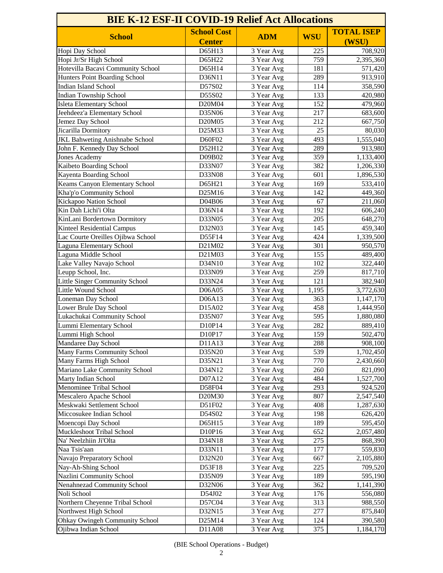| <b>BIE K-12 ESF-II COVID-19 Relief Act Allocations</b> |                    |            |            |                   |
|--------------------------------------------------------|--------------------|------------|------------|-------------------|
| <b>School</b>                                          | <b>School Cost</b> | <b>ADM</b> | <b>WSU</b> | <b>TOTAL ISEP</b> |
|                                                        | <b>Center</b>      |            |            | (WSU)             |
| Hopi Day School                                        | D65H13             | 3 Year Avg | 225        | 708,920           |
| Hopi Jr/Sr High School                                 | D65H22             | 3 Year Avg | 759        | 2,395,360         |
| Hotevilla Bacavi Community School                      | D65H14             | 3 Year Avg | 181        | 571,420           |
| Hunters Point Boarding School                          | D36N11             | 3 Year Avg | 289        | 913,910           |
| <b>Indian Island School</b>                            | D57S02             | 3 Year Avg | 114        | 358,590           |
| <b>Indian Township School</b>                          | D55S02             | 3 Year Avg | 133        | 420,980           |
| Isleta Elementary School                               | D20M04             | 3 Year Avg | 152        | 479,960           |
| Jeehdeez'a Elementary School                           | D35N06             | 3 Year Avg | 217        | 683,600           |
| Jemez Day School                                       | D20M05             | 3 Year Avg | 212        | 667,750           |
| Jicarilla Dormitory                                    | D25M33             | 3 Year Avg | 25         | 80,030            |
| JKL Bahweting Anishnabe School                         | D60F02             | 3 Year Avg | 493        | 1,555,040         |
| John F. Kennedy Day School                             | D52H12             | 3 Year Avg | 289        | 913,980           |
| <b>Jones Academy</b>                                   | D09B02             | 3 Year Avg | 359        | 1,133,400         |
| Kaibeto Boarding School                                | D33N07             | 3 Year Avg | 382        | 1,206,330         |
| Kayenta Boarding School                                | D33N08             | 3 Year Avg | 601        | 1,896,530         |
| Keams Canyon Elementary School                         | D65H21             | 3 Year Avg | 169        | 533,410           |
| Kha'p'o Community School                               | D25M16             | 3 Year Avg | 142        | 449,360           |
| Kickapoo Nation School                                 | D04B06             | 3 Year Avg | 67         | 211,060           |
| Kin Dah Lichi'i Olta                                   | D36N14             | 3 Year Avg | 192        | 606,240           |
| KinLani Bordertown Dormitory                           | D33N05             | 3 Year Avg | 205        | 648,270           |
| <b>Kinteel Residential Campus</b>                      | D32N03             | 3 Year Avg | 145        | 459,340           |
| Lac Courte Oreilles Ojibwa School                      | D55F14             | 3 Year Avg | 424        | 1,339,500         |
| <b>Laguna Elementary School</b>                        | D21M02             | 3 Year Avg | 301        | 950,570           |
| Laguna Middle School                                   | D21M03             | 3 Year Avg | 155        | 489,400           |
| Lake Valley Navajo School                              | D34N10             | 3 Year Avg | 102        | 322,440           |
| Leupp School, Inc.                                     | D33N09             | 3 Year Avg | 259        | 817,710           |
| Little Singer Community School                         | D33N24             | 3 Year Avg | 121        | 382,940           |
| Little Wound School                                    | D06A05             | 3 Year Avg | 1,195      | 3,772,630         |
| Loneman Day School                                     | D06A13             | 3 Year Avg | 363        | 1,147,170         |
| Lower Brule Day School                                 | D15A02             | 3 Year Avg | 458        | 1,444,950         |
| Lukachukai Community School                            | D35N07             | 3 Year Avg | 595        | 1,880,080         |
| Lummi Elementary School                                | D10P14             | 3 Year Avg | 282        | 889,410           |
| Lummi High School                                      | D10P17             | 3 Year Avg | 159        | 502,470           |
| Mandaree Day School                                    | D11A13             | 3 Year Avg | 288        | 908,100           |
| <b>Many Farms Community School</b>                     | D35N20             | 3 Year Avg | 539        | 1,702,450         |
| Many Farms High School                                 | D35N21             | 3 Year Avg | 770        | 2,430,660         |
| Mariano Lake Community School                          | D34N12             | 3 Year Avg | 260        | 821,090           |
| Marty Indian School                                    | D07A12             | 3 Year Avg | 484        | 1,527,700         |
| <b>Menominee Tribal School</b>                         | D58F04             | 3 Year Avg | 293        | 924,520           |
| Mescalero Apache School                                | D20M30             | 3 Year Avg | 807        | 2,547,540         |
| Meskwaki Settlement School                             | D51F02             | 3 Year Avg | 408        | 1,287,630         |
| Miccosukee Indian School                               | D54S02             | 3 Year Avg | 198        | 626,420           |
| Moencopi Day School                                    | D65H15             | 3 Year Avg | 189        | 595,450           |
| <b>Muckleshoot Tribal School</b>                       | D10P16             | 3 Year Avg | 652        | 2,057,480         |
| Na' Neelzhiin Ji'Olta                                  | D34N18             | 3 Year Avg | 275        | 868,390           |
| Naa Tsis'aan                                           | D33N11             | 3 Year Avg | 177        | 559,830           |
| Navajo Preparatory School                              | D32N20             | 3 Year Avg | 667        | 2,105,880         |
| Nay-Ah-Shing School                                    | D53F18             | 3 Year Avg | 225        | 709,520           |
| Nazlini Community School                               | D35N09             | 3 Year Avg | 189        | 595,190           |
| Nenahnezad Community School                            | D32N06             | 3 Year Avg | 362        | 1,141,390         |
| Noli School                                            | D54J02             | 3 Year Avg | 176        | 556,080           |
| Northern Cheyenne Tribal School                        | D57C04             | 3 Year Avg | 313        | 988,550           |
| Northwest High School                                  | D32N15             | 3 Year Avg | 277        | 875,840           |
| <b>Ohkay Owingeh Community School</b>                  | D25M14             | 3 Year Avg | 124        | 390,580           |
| Ojibwa Indian School                                   | D11A08             | 3 Year Avg | 375        | 1,184,170         |

(BIE School Operations - Budget)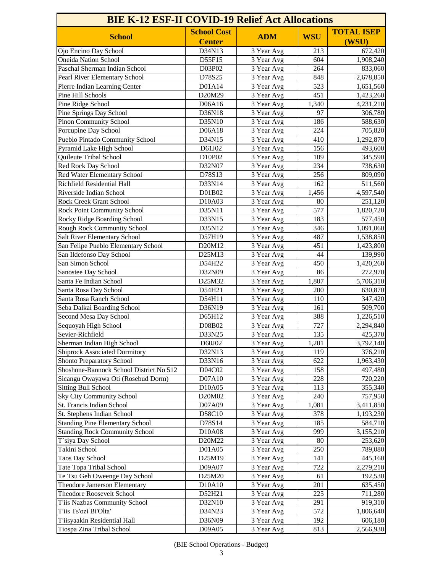| <b>BIE K-12 ESF-II COVID-19 Relief Act Allocations</b> |                    |            |            |                   |
|--------------------------------------------------------|--------------------|------------|------------|-------------------|
| <b>School</b>                                          | <b>School Cost</b> | <b>ADM</b> | <b>WSU</b> | <b>TOTAL ISEP</b> |
|                                                        | <b>Center</b>      |            |            | (WSU)             |
| Ojo Encino Day School                                  | D34N13             | 3 Year Avg | 213        | 672,420           |
| <b>Oneida Nation School</b>                            | D55F15             | 3 Year Avg | 604        | 1,908,240         |
| Paschal Sherman Indian School                          | D03P02             | 3 Year Avg | 264        | 833,060           |
| Pearl River Elementary School                          | D78S25             | 3 Year Avg | 848        | 2,678,850         |
| Pierre Indian Learning Center                          | D01A14             | 3 Year Avg | 523        | 1,651,560         |
| Pine Hill Schools                                      | D20M29             | 3 Year Avg | 451        | 1,423,260         |
| Pine Ridge School                                      | D06A16             | 3 Year Avg | 1,340      | 4,231,210         |
| Pine Springs Day School                                | D36N18             | 3 Year Avg | 97         | 306,780           |
| <b>Pinon Community School</b>                          | D35N10             | 3 Year Avg | 186        | 588,630           |
| Porcupine Day School                                   | D06A18             | 3 Year Avg | 224        | 705,820           |
| Pueblo Pintado Community School                        | D34N15             | 3 Year Avg | 410        | 1,292,870         |
| Pyramid Lake High School                               | D61J02             | 3 Year Avg | 156        | 493,600           |
| Quileute Tribal School                                 | D10P02             | 3 Year Avg | 109        | 345,590           |
| <b>Red Rock Day School</b>                             | D32N07             | 3 Year Avg | 234        | 738,630           |
| <b>Red Water Elementary School</b>                     | D78S13             | 3 Year Avg | 256        | 809,090           |
| <b>Richfield Residential Hall</b>                      | D33N14             | 3 Year Avg | 162        | 511,560           |
| Riverside Indian School                                | D01B02             | 3 Year Avg | 1,456      | 4,597,540         |
| <b>Rock Creek Grant School</b>                         | D10A03             | 3 Year Avg | 80         | 251,120           |
| <b>Rock Point Community School</b>                     | D35N11             | 3 Year Avg | 577        | 1,820,720         |
| Rocky Ridge Boarding School                            | D33N15             | 3 Year Avg | 183        | 577,450           |
| Rough Rock Community School                            | D35N12             | 3 Year Avg | 346        | 1,091,060         |
| <b>Salt River Elementary School</b>                    | D57H19             | 3 Year Avg | 487        | 1,538,850         |
| San Felipe Pueblo Elementary School                    | D20M12             | 3 Year Avg | 451        | 1,423,800         |
| San Ildefonso Day School                               | D25M13             | 3 Year Avg | 44         | 139,990           |
| San Simon School                                       | D54H22             | 3 Year Avg | 450        | 1,420,260         |
| Sanostee Day School                                    | D32N09             | 3 Year Avg | 86         | 272,970           |
| Santa Fe Indian School                                 | D25M32             | 3 Year Avg | 1,807      | 5,706,310         |
| Santa Rosa Day School                                  | D54H21             | 3 Year Avg | 200        | 630,870           |
| Santa Rosa Ranch School                                | D54H11             | 3 Year Avg | 110        | 347,420           |
| Seba Dalkai Boarding School                            | D36N19             | 3 Year Avg | 161        | 509,700           |
| Second Mesa Day School                                 | D65H12             | 3 Year Avg | 388        | 1,226,510         |
| Sequoyah High School                                   | D08B02             | 3 Year Avg | 727        | 2,294,840         |
| Sevier-Richfield                                       | D33N25             | 3 Year Avg | 135        | 425,370           |
| Sherman Indian High School                             | D60J02             | 3 Year Avg | 1,201      | 3,792,140         |
| <b>Shiprock Associated Dormitory</b>                   | D32N13             | 3 Year Avg | 119        | 376,210           |
| <b>Shonto Preparatory School</b>                       | D33N16             | 3 Year Avg | 622        | 1,963,430         |
| Shoshone-Bannock School District No 512                | D04C02             | 3 Year Avg | 158        | 497,480           |
| Sicangu Owayawa Oti (Rosebud Dorm)                     | D07A10             | 3 Year Avg | 228        | 720,220           |
| <b>Sitting Bull School</b>                             | D10A05             | 3 Year Avg | 113        | 355,340           |
| <b>Sky City Community School</b>                       | D20M02             | 3 Year Avg | 240        | 757,950           |
| <b>St. Francis Indian School</b>                       | D07A09             | 3 Year Avg | 1,081      | 3,411,850         |
| St. Stephens Indian School                             | D58C10             | 3 Year Avg | 378        | 1,193,230         |
| <b>Standing Pine Elementary School</b>                 | D78S14             | 3 Year Avg | 185        | 584,710           |
| <b>Standing Rock Community School</b>                  | D10A08             | 3 Year Avg | 999        | 3,155,210         |
| T`siya Day School                                      | D20M22             | 3 Year Avg | 80         | 253,620           |
| Takini School                                          | D01A05             | 3 Year Avg | 250        | 789,080           |
| <b>Taos Day School</b>                                 | D25M19             | 3 Year Avg | 141        | 445,160           |
| Tate Topa Tribal School                                | D09A07             | 3 Year Avg | 722        | 2,279,210         |
| Te Tsu Geh Oweenge Day School                          | D25M20             | 3 Year Avg | 61         | 192,530           |
| <b>Theodore Jamerson Elementary</b>                    | D10A10             | 3 Year Avg | 201        | 635,450           |
| <b>Theodore Roosevelt School</b>                       | D52H21             | 3 Year Avg | 225        | 711,280           |
| T'iis Nazbas Community School                          | D32N10             | 3 Year Avg | 291        | 919,310           |
| T'iis Ts'ozi Bi'Olta'                                  | D34N23             | 3 Year Avg | 572        | 1,806,640         |
| T'iisyaakin Residential Hall                           | D36N09             | 3 Year Avg | 192        | 606,180           |
| Tiospa Zina Tribal School                              | D09A05             | 3 Year Avg | 813        | 2,566,930         |

(BIE School Operations - Budget)